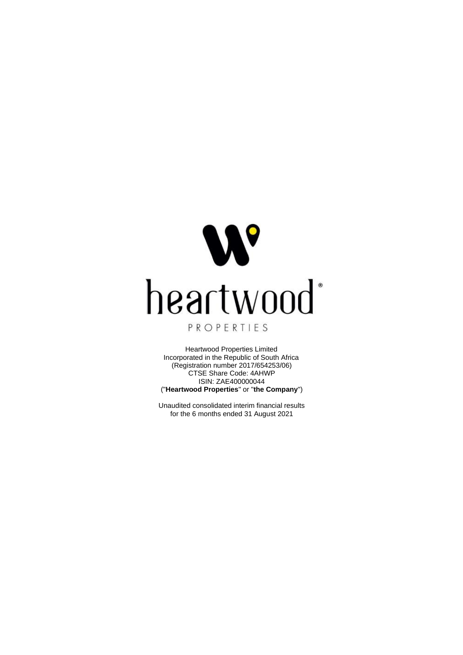

Heartwood Properties Limited Incorporated in the Republic of South Africa (Registration number 2017/654253/06) CTSE Share Code: 4AHWP ISIN: ZAE400000044 ("**Heartwood Properties**" or "**the Company**")

Unaudited consolidated interim financial results for the 6 months ended 31 August 2021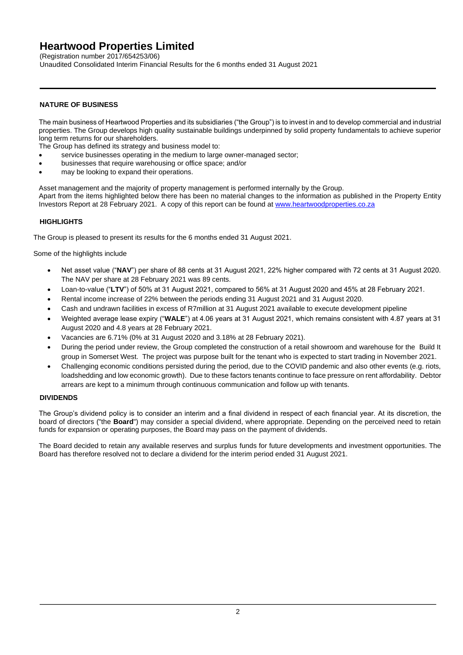(Registration number 2017/654253/06)

Unaudited Consolidated Interim Financial Results for the 6 months ended 31 August 2021

### **NATURE OF BUSINESS**

The main business of Heartwood Properties and its subsidiaries ("the Group") is to invest in and to develop commercial and industrial properties. The Group develops high quality sustainable buildings underpinned by solid property fundamentals to achieve superior long term returns for our shareholders.

The Group has defined its strategy and business model to:

- service businesses operating in the medium to large owner-managed sector;
- businesses that require warehousing or office space; and/or
- may be looking to expand their operations.

Asset management and the majority of property management is performed internally by the Group. Apart from the items highlighted below there has been no material changes to the information as published in the Property Entity Investors Report at 28 February 2021. A copy of this report can be found at [www.heartwoodproperties.co.za](http://www.heartwoodproperties.co.za/)

### **HIGHLIGHTS**

The Group is pleased to present its results for the 6 months ended 31 August 2021.

Some of the highlights include

- Net asset value ("**NAV**") per share of 88 cents at 31 August 2021, 22% higher compared with 72 cents at 31 August 2020. The NAV per share at 28 February 2021 was 89 cents.
- Loan-to-value ("**LTV**") of 50% at 31 August 2021, compared to 56% at 31 August 2020 and 45% at 28 February 2021.
- Rental income increase of 22% between the periods ending 31 August 2021 and 31 August 2020.
- Cash and undrawn facilities in excess of R7million at 31 August 2021 available to execute development pipeline
- Weighted average lease expiry ("**WALE**") at 4.06 years at 31 August 2021, which remains consistent with 4.87 years at 31 August 2020 and 4.8 years at 28 February 2021.
- Vacancies are 6.71% (0% at 31 August 2020 and 3.18% at 28 February 2021).
- During the period under review, the Group completed the construction of a retail showroom and warehouse for the Build It group in Somerset West. The project was purpose built for the tenant who is expected to start trading in November 2021.
- Challenging economic conditions persisted during the period, due to the COVID pandemic and also other events (e.g. riots, loadshedding and low economic growth). Due to these factors tenants continue to face pressure on rent affordability. Debtor arrears are kept to a minimum through continuous communication and follow up with tenants.

#### **DIVIDENDS**

The Group's dividend policy is to consider an interim and a final dividend in respect of each financial year. At its discretion, the board of directors ("the **Board**") may consider a special dividend, where appropriate. Depending on the perceived need to retain funds for expansion or operating purposes, the Board may pass on the payment of dividends.

The Board decided to retain any available reserves and surplus funds for future developments and investment opportunities. The Board has therefore resolved not to declare a dividend for the interim period ended 31 August 2021.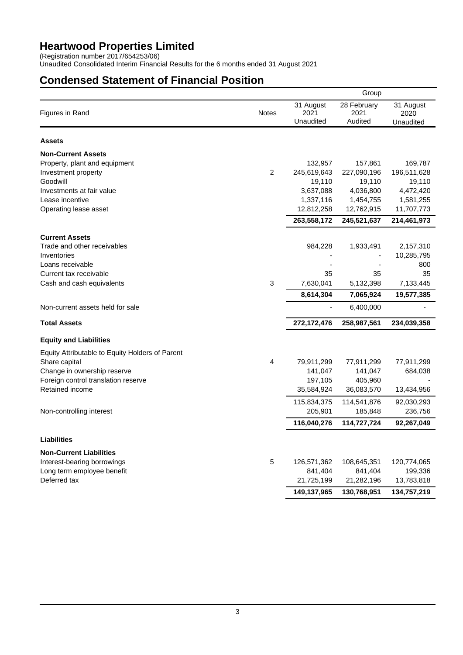(Registration number 2017/654253/06)

Unaudited Consolidated Interim Financial Results for the 6 months ended 31 August 2021

# **Condensed Statement of Financial Position**

|                                                 |                |                                | Group                          |                                |
|-------------------------------------------------|----------------|--------------------------------|--------------------------------|--------------------------------|
| Figures in Rand                                 | <b>Notes</b>   | 31 August<br>2021<br>Unaudited | 28 February<br>2021<br>Audited | 31 August<br>2020<br>Unaudited |
| <b>Assets</b>                                   |                |                                |                                |                                |
| <b>Non-Current Assets</b>                       |                |                                |                                |                                |
| Property, plant and equipment                   |                | 132,957                        | 157,861                        | 169,787                        |
| Investment property                             | 2              | 245,619,643                    | 227,090,196                    | 196,511,628                    |
| Goodwill                                        |                | 19,110                         | 19,110                         | 19,110                         |
| Investments at fair value                       |                | 3,637,088                      | 4,036,800                      | 4,472,420                      |
| Lease incentive                                 |                | 1,337,116                      | 1,454,755                      | 1,581,255                      |
| Operating lease asset                           |                | 12,812,258                     | 12,762,915                     | 11,707,773                     |
|                                                 |                | 263,558,172                    | 245,521,637                    | 214,461,973                    |
| <b>Current Assets</b>                           |                |                                |                                |                                |
| Trade and other receivables                     |                | 984,228                        | 1,933,491                      | 2,157,310                      |
| Inventories                                     |                |                                |                                | 10,285,795                     |
| Loans receivable                                |                |                                |                                | 800                            |
| Current tax receivable                          |                | 35                             | 35                             | 35                             |
| Cash and cash equivalents                       | $\mathfrak{S}$ | 7,630,041                      | 5,132,398                      | 7,133,445                      |
|                                                 |                | 8,614,304                      | 7,065,924                      | 19,577,385                     |
| Non-current assets held for sale                |                | $\frac{1}{2}$                  | 6,400,000                      |                                |
| <b>Total Assets</b>                             |                | 272, 172, 476                  | 258,987,561                    | 234,039,358                    |
| <b>Equity and Liabilities</b>                   |                |                                |                                |                                |
| Equity Attributable to Equity Holders of Parent |                |                                |                                |                                |
| Share capital                                   | 4              | 79,911,299                     | 77,911,299                     | 77,911,299                     |
| Change in ownership reserve                     |                | 141,047                        | 141,047                        | 684,038                        |
| Foreign control translation reserve             |                | 197,105                        | 405,960                        |                                |
| Retained income                                 |                | 35,584,924                     | 36,083,570                     | 13,434,956                     |
|                                                 |                | 115,834,375                    | 114,541,876                    | 92,030,293                     |
| Non-controlling interest                        |                | 205,901                        | 185,848                        | 236,756                        |
|                                                 |                | 116,040,276                    | 114,727,724                    | 92,267,049                     |
| <b>Liabilities</b>                              |                |                                |                                |                                |
| <b>Non-Current Liabilities</b>                  |                |                                |                                |                                |
| Interest-bearing borrowings                     | 5              | 126,571,362                    | 108,645,351                    | 120,774,065                    |
| Long term employee benefit                      |                | 841,404                        | 841,404                        | 199,336                        |
| Deferred tax                                    |                | 21,725,199                     | 21,282,196                     | 13,783,818                     |
|                                                 |                | 149,137,965                    | 130,768,951                    | 134,757,219                    |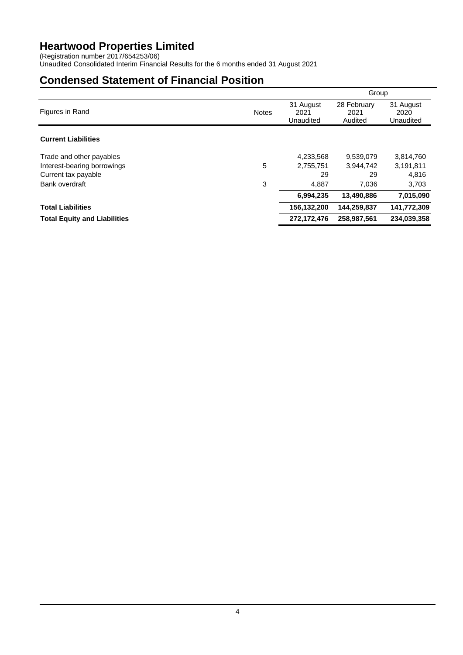(Registration number 2017/654253/06)

Unaudited Consolidated Interim Financial Results for the 6 months ended 31 August 2021

# **Condensed Statement of Financial Position**

|                                     |              |                                | Group                          |                                |
|-------------------------------------|--------------|--------------------------------|--------------------------------|--------------------------------|
| Figures in Rand                     | <b>Notes</b> | 31 August<br>2021<br>Unaudited | 28 February<br>2021<br>Audited | 31 August<br>2020<br>Unaudited |
| <b>Current Liabilities</b>          |              |                                |                                |                                |
| Trade and other payables            |              | 4,233,568                      | 9,539,079                      | 3,814,760                      |
| Interest-bearing borrowings         | 5            | 2,755,751                      | 3,944,742                      | 3,191,811                      |
| Current tax payable                 |              | 29                             | 29                             | 4,816                          |
| Bank overdraft                      | 3            | 4.887                          | 7,036                          | 3,703                          |
|                                     |              | 6,994,235                      | 13,490,886                     | 7,015,090                      |
| <b>Total Liabilities</b>            |              | 156,132,200                    | 144,259,837                    | 141,772,309                    |
| <b>Total Equity and Liabilities</b> |              | 272.172.476                    | 258.987.561                    | 234.039.358                    |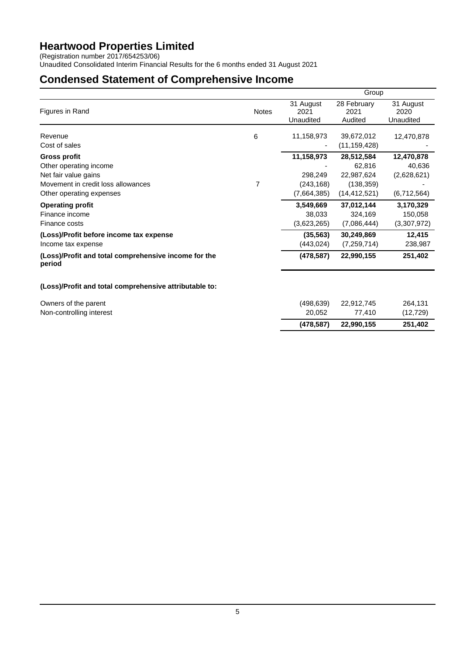(Registration number 2017/654253/06)

Unaudited Consolidated Interim Financial Results for the 6 months ended 31 August 2021

# **Condensed Statement of Comprehensive Income**

|                                                                |              |                                | Group                          |                                |
|----------------------------------------------------------------|--------------|--------------------------------|--------------------------------|--------------------------------|
| Figures in Rand                                                | <b>Notes</b> | 31 August<br>2021<br>Unaudited | 28 February<br>2021<br>Audited | 31 August<br>2020<br>Unaudited |
| Revenue                                                        | 6            | 11,158,973                     | 39,672,012                     | 12,470,878                     |
| Cost of sales                                                  |              |                                | (11, 159, 428)                 |                                |
| <b>Gross profit</b>                                            |              | 11,158,973                     | 28,512,584                     | 12,470,878                     |
| Other operating income                                         |              |                                | 62,816                         | 40,636                         |
| Net fair value gains                                           |              | 298,249                        | 22,987,624                     | (2,628,621)                    |
| Movement in credit loss allowances                             | 7            | (243, 168)                     | (138, 359)                     |                                |
| Other operating expenses                                       |              | (7,664,385)                    | (14, 412, 521)                 | (6,712,564)                    |
| <b>Operating profit</b>                                        |              | 3,549,669                      | 37,012,144                     | 3,170,329                      |
| Finance income                                                 |              | 38,033                         | 324,169                        | 150,058                        |
| Finance costs                                                  |              | (3,623,265)                    | (7,086,444)                    | (3,307,972)                    |
| (Loss)/Profit before income tax expense                        |              | (35, 563)                      | 30,249,869                     | 12,415                         |
| Income tax expense                                             |              | (443, 024)                     | (7, 259, 714)                  | 238,987                        |
| (Loss)/Profit and total comprehensive income for the<br>period |              | (478, 587)                     | 22,990,155                     | 251,402                        |
| (Loss)/Profit and total comprehensive attributable to:         |              |                                |                                |                                |
| Owners of the parent                                           |              | (498, 639)                     | 22,912,745                     | 264,131                        |
| Non-controlling interest                                       |              | 20,052                         | 77,410                         | (12, 729)                      |
|                                                                |              | (478, 587)                     | 22,990,155                     | 251,402                        |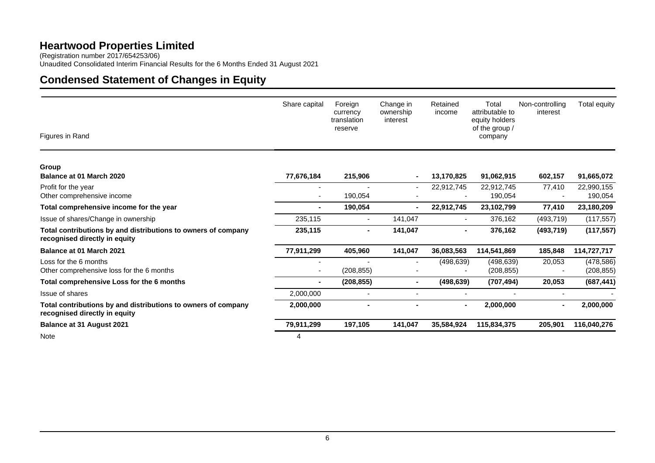(Registration number 2017/654253/06) Unaudited Consolidated Interim Financial Results for the 6 Months Ended 31 August 2021

# **Condensed Statement of Changes in Equity**

| Figures in Rand                                                                                | Share capital            | Foreign<br>currency<br>translation<br>reserve | Change in<br>ownership<br>interest | Retained<br>income | Total<br>attributable to<br>equity holders<br>of the group $/$<br>company | Non-controlling<br>interest | Total equity             |
|------------------------------------------------------------------------------------------------|--------------------------|-----------------------------------------------|------------------------------------|--------------------|---------------------------------------------------------------------------|-----------------------------|--------------------------|
| Group<br>Balance at 01 March 2020                                                              | 77,676,184               | 215,906                                       |                                    | 13,170,825         | 91,062,915                                                                | 602,157                     | 91,665,072               |
| Profit for the year<br>Other comprehensive income                                              |                          | 190,054                                       |                                    | 22,912,745         | 22,912,745<br>190,054                                                     | 77,410                      | 22,990,155<br>190,054    |
| Total comprehensive income for the year                                                        | $\blacksquare$           | 190,054                                       |                                    | 22,912,745         | 23,102,799                                                                | 77,410                      | 23,180,209               |
| Issue of shares/Change in ownership                                                            | 235,115                  | $\overline{\phantom{a}}$                      | 141,047                            |                    | 376,162                                                                   | (493, 719)                  | (117, 557)               |
| Total contributions by and distributions to owners of company<br>recognised directly in equity | 235,115                  | $\blacksquare$                                | 141,047                            | $\blacksquare$     | 376,162                                                                   | (493, 719)                  | (117, 557)               |
| <b>Balance at 01 March 2021</b>                                                                | 77,911,299               | 405,960                                       | 141,047                            | 36,083,563         | 114,541,869                                                               | 185,848                     | 114,727,717              |
| Loss for the 6 months<br>Other comprehensive loss for the 6 months                             | $\overline{\phantom{a}}$ | (208, 855)                                    |                                    | (498, 639)         | (498, 639)<br>(208, 855)                                                  | 20,053                      | (478, 586)<br>(208, 855) |
| Total comprehensive Loss for the 6 months                                                      | ٠                        | (208, 855)                                    | $\blacksquare$                     | (498, 639)         | (707, 494)                                                                | 20,053                      | (687, 441)               |
| Issue of shares                                                                                | 2,000,000                | $\overline{\phantom{a}}$                      |                                    |                    | $\blacksquare$                                                            |                             |                          |
| Total contributions by and distributions to owners of company<br>recognised directly in equity | 2,000,000                | $\blacksquare$                                |                                    | $\blacksquare$     | 2,000,000                                                                 | $\blacksquare$              | 2,000,000                |
| <b>Balance at 31 August 2021</b>                                                               | 79,911,299               | 197,105                                       | 141,047                            | 35,584,924         | 115,834,375                                                               | 205,901                     | 116,040,276              |
| Note                                                                                           | 4                        |                                               |                                    |                    |                                                                           |                             |                          |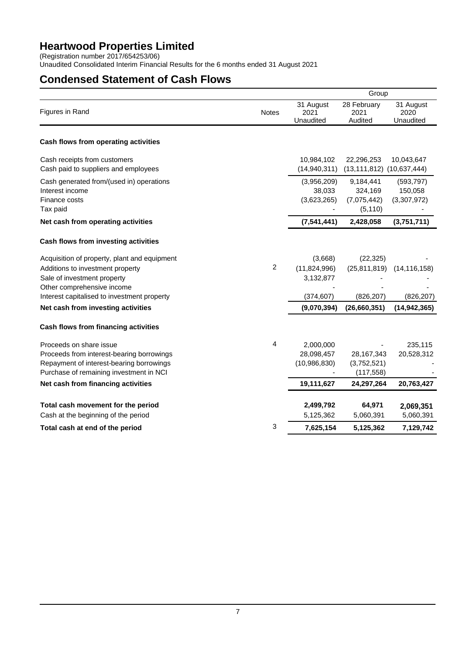(Registration number 2017/654253/06)

Unaudited Consolidated Interim Financial Results for the 6 months ended 31 August 2021

## **Condensed Statement of Cash Flows**

|                                                                           |              | Group                          |                                   |                                |  |  |
|---------------------------------------------------------------------------|--------------|--------------------------------|-----------------------------------|--------------------------------|--|--|
| Figures in Rand                                                           | <b>Notes</b> | 31 August<br>2021<br>Unaudited | 28 February<br>2021<br>Audited    | 31 August<br>2020<br>Unaudited |  |  |
| Cash flows from operating activities                                      |              |                                |                                   |                                |  |  |
| Cash receipts from customers                                              |              | 10,984,102                     | 22,296,253                        | 10,043,647                     |  |  |
| Cash paid to suppliers and employees                                      |              | (14, 940, 311)                 | $(13, 111, 812)$ $(10, 637, 444)$ |                                |  |  |
| Cash generated from/(used in) operations<br>Interest income               |              | (3,956,209)<br>38,033          | 9,184,441<br>324,169              | (593, 797)<br>150,058          |  |  |
| Finance costs                                                             |              | (3,623,265)                    | (7,075,442)                       | (3,307,972)                    |  |  |
| Tax paid                                                                  |              |                                | (5, 110)                          |                                |  |  |
| Net cash from operating activities                                        |              | (7, 541, 441)                  | 2,428,058                         | (3,751,711)                    |  |  |
| Cash flows from investing activities                                      |              |                                |                                   |                                |  |  |
| Acquisition of property, plant and equipment                              |              | (3,668)                        | (22, 325)                         |                                |  |  |
| Additions to investment property                                          | 2            | (11, 824, 996)                 | (25, 811, 819)                    | (14, 116, 158)                 |  |  |
| Sale of investment property                                               |              | 3,132,877                      |                                   |                                |  |  |
| Other comprehensive income<br>Interest capitalised to investment property |              | (374, 607)                     | (826, 207)                        | (826, 207)                     |  |  |
| Net cash from investing activities                                        |              | (9,070,394)                    | (26,660,351)                      | (14, 942, 365)                 |  |  |
| Cash flows from financing activities                                      |              |                                |                                   |                                |  |  |
| Proceeds on share issue                                                   | 4            | 2,000,000                      |                                   | 235,115                        |  |  |
| Proceeds from interest-bearing borrowings                                 |              | 28,098,457                     | 28,167,343                        | 20,528,312                     |  |  |
| Repayment of interest-bearing borrowings                                  |              | (10,986,830)                   | (3,752,521)                       |                                |  |  |
| Purchase of remaining investment in NCI                                   |              |                                | (117, 558)                        |                                |  |  |
| Net cash from financing activities                                        |              | 19,111,627                     | 24,297,264                        | 20,763,427                     |  |  |
| Total cash movement for the period                                        |              | 2,499,792                      | 64,971                            | 2,069,351                      |  |  |
| Cash at the beginning of the period                                       |              | 5,125,362                      | 5,060,391                         | 5,060,391                      |  |  |
| Total cash at end of the period                                           | 3            | 7,625,154                      | 5,125,362                         | 7,129,742                      |  |  |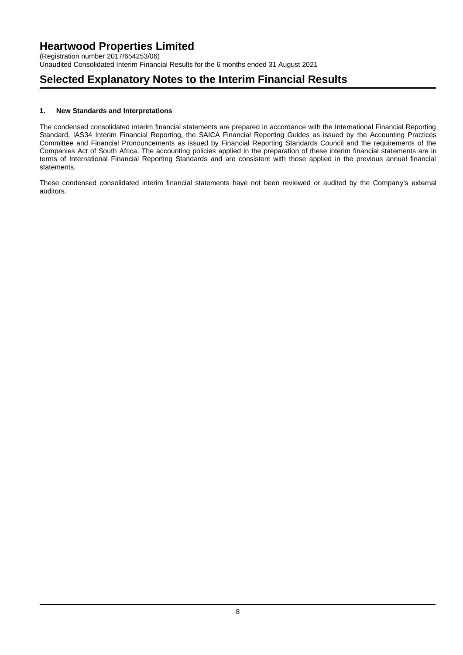(Registration number 2017/654253/06) Unaudited Consolidated Interim Financial Results for the 6 months ended 31 August 2021

## **Selected Explanatory Notes to the Interim Financial Results**

### **1. New Standards and Interpretations**

The condensed consolidated interim financial statements are prepared in accordance with the International Financial Reporting Standard, IAS34 Interim Financial Reporting, the SAICA Financial Reporting Guides as issued by the Accounting Practices Committee and Financial Pronouncements as issued by Financial Reporting Standards Council and the requirements of the Companies Act of South Africa. The accounting policies applied in the preparation of these interim financial statements are in terms of International Financial Reporting Standards and are consistent with those applied in the previous annual financial statements.

These condensed consolidated interim financial statements have not been reviewed or audited by the Company's external auditors.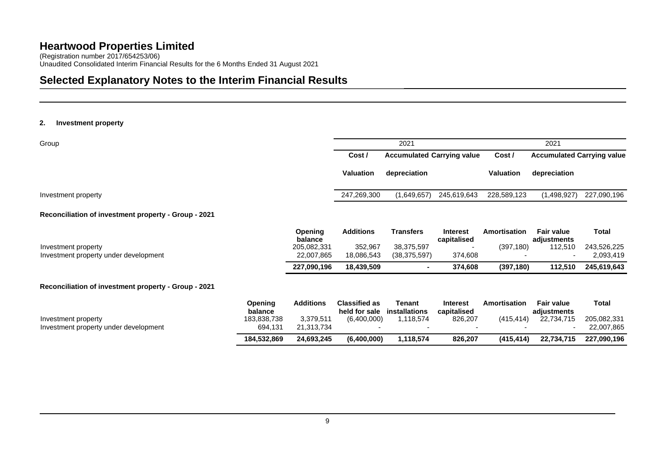(Registration number 2017/654253/06) Unaudited Consolidated Interim Financial Results for the 6 Months Ended 31 August 2021

# **Selected Explanatory Notes to the Interim Financial Results**

#### **2. Investment property**

| Cost /                                      | 2021                       |             | 2021                       |                                   |
|---------------------------------------------|----------------------------|-------------|----------------------------|-----------------------------------|
|                                             |                            |             |                            |                                   |
| Cost /<br><b>Accumulated Carrying value</b> |                            |             |                            | <b>Accumulated Carrying value</b> |
| Valuation                                   | depreciation               | Valuation   | depreciation               |                                   |
|                                             | 245,619,643<br>(1,649,657) |             | (1,498,927)<br>227,090,196 |                                   |
|                                             |                            | 247,269,300 | 228,589,123                |                                   |

#### **Reconciliation of investment property - Group - 2021**

|                                       | Opening     | Additions  | Transfers      | <b>Interest</b> | <b>Amortisation</b> | <b>Fair value</b> | Total       |
|---------------------------------------|-------------|------------|----------------|-----------------|---------------------|-------------------|-------------|
|                                       | balance     |            |                | capitalised     |                     | adiustments       |             |
| Investment property                   | 205.082.331 | 352.967    | 38,375,597     |                 | (397, 180)          | 112.510           | 243.526.225 |
| Investment property under development | 22,007,865  | 18.086.543 | (38, 375, 597) | 374,608         |                     |                   | 2,093,419   |
|                                       | 227,090,196 | 18.439.509 |                | 374.608         | (397, 180)          | 112.510           | 245.619.643 |

#### **Reconciliation of investment property - Group - 2021**

|                                                              | Opening<br>balance     | Additions               | <b>Classified as</b><br>held for sale | Tenant<br>installations | <b>Interest</b><br>capitalised | Amortisation     | <b>Fair value</b><br>adiustments | Total                     |
|--------------------------------------------------------------|------------------------|-------------------------|---------------------------------------|-------------------------|--------------------------------|------------------|----------------------------------|---------------------------|
| Investment property<br>Investment property under development | 183.838.738<br>694.131 | 3,379,511<br>21.313.734 | (6.400.000)                           | .118.574                | 826,207                        | (415.414)<br>. . | 22,734,715                       | 205.082.331<br>22.007.865 |
|                                                              | 184,532,869            | 24.693.245              | (6,400,000)                           | .118.574                | 826,207                        | (415.414)        | 22,734,715                       | 227,090,196               |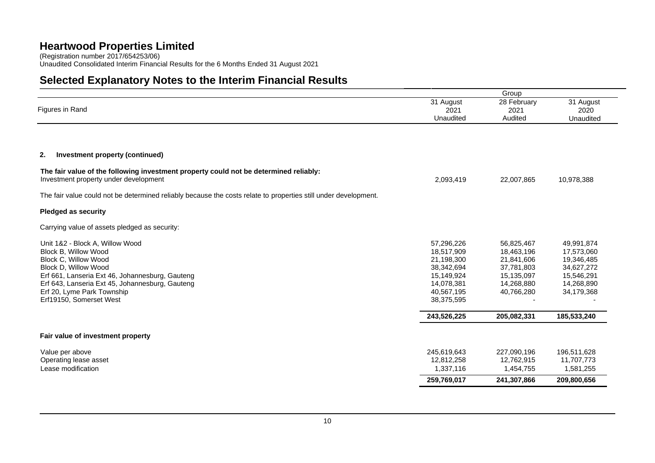(Registration number 2017/654253/06) Unaudited Consolidated Interim Financial Results for the 6 Months Ended 31 August 2021

# **Selected Explanatory Notes to the Interim Financial Results**

| 28 February<br>31 August<br>31 August<br>Figures in Rand<br>2021<br>2021<br>2020<br>Unaudited<br>Audited<br>Unaudited<br>Investment property (continued)<br>2,093,419<br>22,007,865<br>10,978,388<br>57,296,226<br>56,825,467<br>49,991,874<br>18,463,196<br>17,573,060<br>Block B, Willow Wood<br>18,517,909<br>21,841,606<br>Block C, Willow Wood<br>21,198,300<br>19,346,485<br>Block D, Willow Wood<br>37,781,803<br>34,627,272<br>38,342,694<br>Erf 661, Lanseria Ext 46, Johannesburg, Gauteng<br>15,149,924<br>15,135,097<br>15,546,291<br>14,268,880<br>14,268,890<br>Erf 643, Lanseria Ext 45, Johannesburg, Gauteng<br>14,078,381<br>Erf 20, Lyme Park Township<br>40,567,195<br>40,766,280<br>34,179,368<br>38,375,595<br>243,526,225<br>205,082,331<br>185,533,240<br>245,619,643<br>227,090,196<br>196,511,628<br>12,812,258<br>12,762,915<br>11,707,773<br>1,337,116<br>1,454,755<br>1,581,255<br>259,769,017<br>241,307,866<br>209,800,656 |                                                                                                                                | Group |  |
|-----------------------------------------------------------------------------------------------------------------------------------------------------------------------------------------------------------------------------------------------------------------------------------------------------------------------------------------------------------------------------------------------------------------------------------------------------------------------------------------------------------------------------------------------------------------------------------------------------------------------------------------------------------------------------------------------------------------------------------------------------------------------------------------------------------------------------------------------------------------------------------------------------------------------------------------------------------|--------------------------------------------------------------------------------------------------------------------------------|-------|--|
|                                                                                                                                                                                                                                                                                                                                                                                                                                                                                                                                                                                                                                                                                                                                                                                                                                                                                                                                                           |                                                                                                                                |       |  |
|                                                                                                                                                                                                                                                                                                                                                                                                                                                                                                                                                                                                                                                                                                                                                                                                                                                                                                                                                           |                                                                                                                                |       |  |
|                                                                                                                                                                                                                                                                                                                                                                                                                                                                                                                                                                                                                                                                                                                                                                                                                                                                                                                                                           |                                                                                                                                |       |  |
|                                                                                                                                                                                                                                                                                                                                                                                                                                                                                                                                                                                                                                                                                                                                                                                                                                                                                                                                                           | 2.                                                                                                                             |       |  |
|                                                                                                                                                                                                                                                                                                                                                                                                                                                                                                                                                                                                                                                                                                                                                                                                                                                                                                                                                           | The fair value of the following investment property could not be determined reliably:<br>Investment property under development |       |  |
|                                                                                                                                                                                                                                                                                                                                                                                                                                                                                                                                                                                                                                                                                                                                                                                                                                                                                                                                                           | The fair value could not be determined reliably because the costs relate to properties still under development.                |       |  |
|                                                                                                                                                                                                                                                                                                                                                                                                                                                                                                                                                                                                                                                                                                                                                                                                                                                                                                                                                           | <b>Pledged as security</b>                                                                                                     |       |  |
|                                                                                                                                                                                                                                                                                                                                                                                                                                                                                                                                                                                                                                                                                                                                                                                                                                                                                                                                                           | Carrying value of assets pledged as security:                                                                                  |       |  |
|                                                                                                                                                                                                                                                                                                                                                                                                                                                                                                                                                                                                                                                                                                                                                                                                                                                                                                                                                           | Unit 1&2 - Block A, Willow Wood                                                                                                |       |  |
|                                                                                                                                                                                                                                                                                                                                                                                                                                                                                                                                                                                                                                                                                                                                                                                                                                                                                                                                                           |                                                                                                                                |       |  |
|                                                                                                                                                                                                                                                                                                                                                                                                                                                                                                                                                                                                                                                                                                                                                                                                                                                                                                                                                           |                                                                                                                                |       |  |
|                                                                                                                                                                                                                                                                                                                                                                                                                                                                                                                                                                                                                                                                                                                                                                                                                                                                                                                                                           |                                                                                                                                |       |  |
|                                                                                                                                                                                                                                                                                                                                                                                                                                                                                                                                                                                                                                                                                                                                                                                                                                                                                                                                                           |                                                                                                                                |       |  |
|                                                                                                                                                                                                                                                                                                                                                                                                                                                                                                                                                                                                                                                                                                                                                                                                                                                                                                                                                           |                                                                                                                                |       |  |
|                                                                                                                                                                                                                                                                                                                                                                                                                                                                                                                                                                                                                                                                                                                                                                                                                                                                                                                                                           | Erf19150, Somerset West                                                                                                        |       |  |
|                                                                                                                                                                                                                                                                                                                                                                                                                                                                                                                                                                                                                                                                                                                                                                                                                                                                                                                                                           |                                                                                                                                |       |  |
|                                                                                                                                                                                                                                                                                                                                                                                                                                                                                                                                                                                                                                                                                                                                                                                                                                                                                                                                                           | Fair value of investment property                                                                                              |       |  |
|                                                                                                                                                                                                                                                                                                                                                                                                                                                                                                                                                                                                                                                                                                                                                                                                                                                                                                                                                           | Value per above                                                                                                                |       |  |
|                                                                                                                                                                                                                                                                                                                                                                                                                                                                                                                                                                                                                                                                                                                                                                                                                                                                                                                                                           | Operating lease asset                                                                                                          |       |  |
|                                                                                                                                                                                                                                                                                                                                                                                                                                                                                                                                                                                                                                                                                                                                                                                                                                                                                                                                                           | Lease modification                                                                                                             |       |  |
|                                                                                                                                                                                                                                                                                                                                                                                                                                                                                                                                                                                                                                                                                                                                                                                                                                                                                                                                                           |                                                                                                                                |       |  |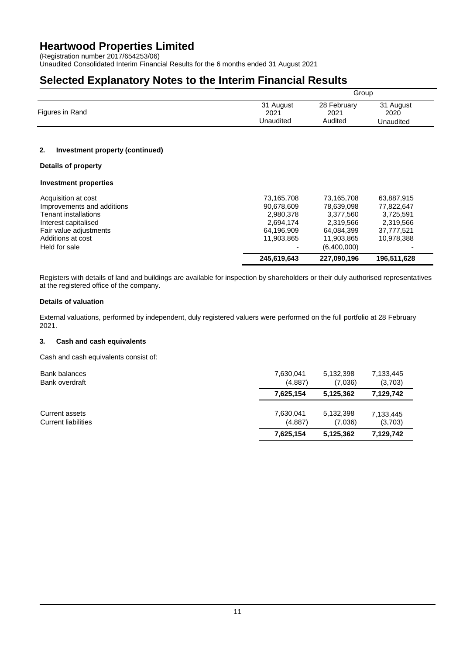(Registration number 2017/654253/06)

Unaudited Consolidated Interim Financial Results for the 6 months ended 31 August 2021

### **Selected Explanatory Notes to the Interim Financial Results**

|                 |           | Group       |           |  |  |  |
|-----------------|-----------|-------------|-----------|--|--|--|
| Figures in Rand | 31 August | 28 February | 31 August |  |  |  |
|                 | 2021      | 2021        | 2020      |  |  |  |
|                 | Unaudited | Audited     | Unaudited |  |  |  |

### **2. Investment property (continued)**

### **Details of property**

### **Investment properties**

| Held for sale              | 245,619,643 | (6.400.000)<br>227,090,196 | 196,511,628 |  |
|----------------------------|-------------|----------------------------|-------------|--|
| Additions at cost          | 11,903,865  | 11,903,865                 | 10,978,388  |  |
| Fair value adjustments     | 64,196,909  | 64.084.399                 | 37.777.521  |  |
| Interest capitalised       | 2,694,174   | 2.319.566                  | 2.319.566   |  |
| Tenant installations       | 2,980,378   | 3.377.560                  | 3.725.591   |  |
| Improvements and additions | 90,678,609  | 78,639,098                 | 77,822,647  |  |
| Acquisition at cost        | 73,165,708  | 73,165,708                 | 63,887,915  |  |

Registers with details of land and buildings are available for inspection by shareholders or their duly authorised representatives at the registered office of the company.

### **Details of valuation**

External valuations, performed by independent, duly registered valuers were performed on the full portfolio at 28 February 2021.

### **3. Cash and cash equivalents**

Cash and cash equivalents consist of:

| Bank balances              | 7,630,041 | 5,132,398 | 7,133,445 |
|----------------------------|-----------|-----------|-----------|
| Bank overdraft             | (4,887)   | (7,036)   | (3,703)   |
|                            | 7,625,154 | 5,125,362 | 7,129,742 |
| Current assets             | 7,630,041 | 5,132,398 | 7,133,445 |
| <b>Current liabilities</b> | (4,887)   | (7,036)   | (3,703)   |
|                            | 7,625,154 | 5,125,362 | 7,129,742 |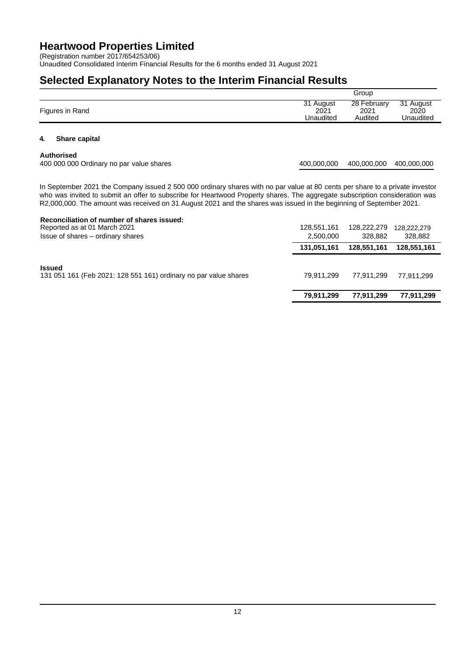(Registration number 2017/654253/06)

Unaudited Consolidated Interim Financial Results for the 6 months ended 31 August 2021

### **Selected Explanatory Notes to the Interim Financial Results**

|                 |           | Group       |           |
|-----------------|-----------|-------------|-----------|
| Figures in Rand | 31 August | 28 February | 31 August |
|                 | 2021      | 2021        | 2020      |
|                 | Unaudited | Audited     | Unaudited |

### **4. Share capital**

#### **Authorised**

400 000 000 Ordinary no par value shares 400,000,000 400,000,000 400,000,000

In September 2021 the Company issued 2 500 000 ordinary shares with no par value at 80 cents per share to a private investor who was invited to submit an offer to subscribe for Heartwood Property shares. The aggregate subscription consideration was R2,000,000. The amount was received on 31 August 2021 and the shares was issued in the beginning of September 2021.

### **Reconciliation of number of shares issued:** Reported as at 01 March 2021 128,551,161 128,222,279 128,222,279 128,222,279 128,222,279 128,222,279 Reported as at 01 March 2021 128,222,279 128,882 128,882 128,882 128,882 128,882 128,882 128,882 128,882 128,882 128,882 Issue of shares – ordinary shares **131,051,161 128,551,161 128,551,161 Issued** 131 051 161 (Feb 2021: 128 551 161) ordinary no par value shares 79,911,299 77,911,299 77,911,299 77,911,299 **79,911,299 77,911,299 77,911,299**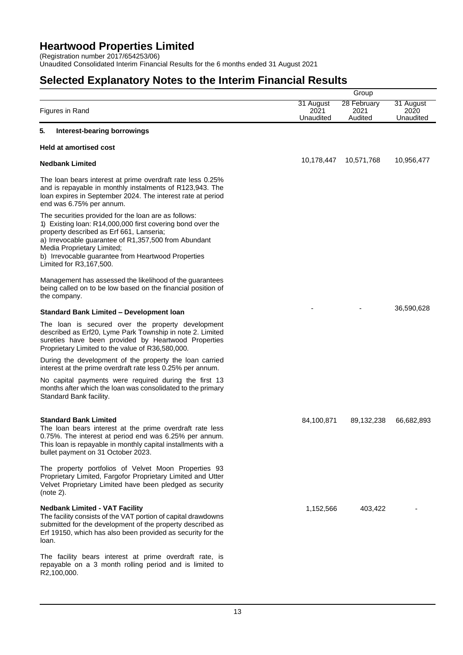(Registration number 2017/654253/06)

Unaudited Consolidated Interim Financial Results for the 6 months ended 31 August 2021

## **Selected Explanatory Notes to the Interim Financial Results**

|                                                                                                                                                                                                                                                                                                                                       |                                | Group                          |                                |
|---------------------------------------------------------------------------------------------------------------------------------------------------------------------------------------------------------------------------------------------------------------------------------------------------------------------------------------|--------------------------------|--------------------------------|--------------------------------|
| Figures in Rand                                                                                                                                                                                                                                                                                                                       | 31 August<br>2021<br>Unaudited | 28 February<br>2021<br>Audited | 31 August<br>2020<br>Unaudited |
| 5.<br><b>Interest-bearing borrowings</b>                                                                                                                                                                                                                                                                                              |                                |                                |                                |
| <b>Held at amortised cost</b>                                                                                                                                                                                                                                                                                                         |                                |                                |                                |
| <b>Nedbank Limited</b>                                                                                                                                                                                                                                                                                                                | 10,178,447                     | 10,571,768                     | 10,956,477                     |
| The loan bears interest at prime overdraft rate less 0.25%<br>and is repayable in monthly instalments of R123,943. The<br>loan expires in September 2024. The interest rate at period<br>end was 6.75% per annum.                                                                                                                     |                                |                                |                                |
| The securities provided for the loan are as follows:<br>1) Existing loan: R14,000,000 first covering bond over the<br>property described as Erf 661, Lanseria;<br>a) Irrevocable guarantee of R1,357,500 from Abundant<br>Media Proprietary Limited;<br>b) Irrevocable guarantee from Heartwood Properties<br>Limited for R3,167,500. |                                |                                |                                |
| Management has assessed the likelihood of the guarantees<br>being called on to be low based on the financial position of<br>the company.                                                                                                                                                                                              |                                |                                |                                |
| Standard Bank Limited - Development Ioan                                                                                                                                                                                                                                                                                              |                                |                                | 36,590,628                     |
| The loan is secured over the property development<br>described as Erf20, Lyme Park Township in note 2. Limited<br>sureties have been provided by Heartwood Properties<br>Proprietary Limited to the value of R36,580,000.                                                                                                             |                                |                                |                                |
| During the development of the property the loan carried<br>interest at the prime overdraft rate less 0.25% per annum.                                                                                                                                                                                                                 |                                |                                |                                |
| No capital payments were required during the first 13<br>months after which the loan was consolidated to the primary<br>Standard Bank facility.                                                                                                                                                                                       |                                |                                |                                |
| <b>Standard Bank Limited</b><br>The loan bears interest at the prime overdraft rate less<br>0.75%. The interest at period end was 6.25% per annum.<br>This loan is repayable in monthly capital installments with a<br>bullet payment on 31 October 2023.                                                                             | 84,100,871                     | 89,132,238                     | 66,682,893                     |
| The property portfolios of Velvet Moon Properties 93<br>Proprietary Limited, Fargofor Proprietary Limited and Utter<br>Velvet Proprietary Limited have been pledged as security<br>(note 2).                                                                                                                                          |                                |                                |                                |
| <b>Nedbank Limited - VAT Facility</b><br>The facility consists of the VAT portion of capital drawdowns<br>submitted for the development of the property described as<br>Erf 19150, which has also been provided as security for the<br>loan.                                                                                          | 1,152,566                      | 403,422                        |                                |
| The facility bears interest at prime overdraft rate, is<br>repayable on a 3 month rolling period and is limited to<br>R <sub>2</sub> ,100,000.                                                                                                                                                                                        |                                |                                |                                |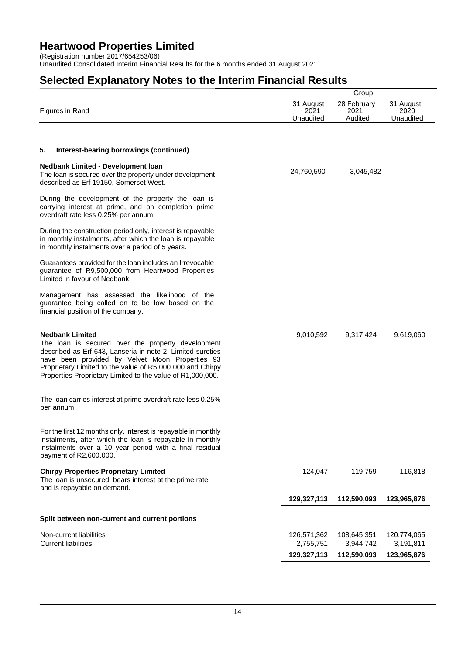(Registration number 2017/654253/06)

Unaudited Consolidated Interim Financial Results for the 6 months ended 31 August 2021

## **Selected Explanatory Notes to the Interim Financial Results**

|                                                                                                                                                                                                                                                                                                                         |                                | Group                          |                                |
|-------------------------------------------------------------------------------------------------------------------------------------------------------------------------------------------------------------------------------------------------------------------------------------------------------------------------|--------------------------------|--------------------------------|--------------------------------|
| Figures in Rand                                                                                                                                                                                                                                                                                                         | 31 August<br>2021<br>Unaudited | 28 February<br>2021<br>Audited | 31 August<br>2020<br>Unaudited |
| 5.<br>Interest-bearing borrowings (continued)                                                                                                                                                                                                                                                                           |                                |                                |                                |
|                                                                                                                                                                                                                                                                                                                         |                                |                                |                                |
| <b>Nedbank Limited - Development loan</b><br>The loan is secured over the property under development<br>described as Erf 19150, Somerset West.                                                                                                                                                                          | 24,760,590                     | 3,045,482                      |                                |
| During the development of the property the loan is<br>carrying interest at prime, and on completion prime<br>overdraft rate less 0.25% per annum.                                                                                                                                                                       |                                |                                |                                |
| During the construction period only, interest is repayable<br>in monthly instalments, after which the loan is repayable<br>in monthly instalments over a period of 5 years.                                                                                                                                             |                                |                                |                                |
| Guarantees provided for the loan includes an Irrevocable<br>guarantee of R9,500,000 from Heartwood Properties<br>Limited in favour of Nedbank.                                                                                                                                                                          |                                |                                |                                |
| Management has assessed the likelihood of the<br>guarantee being called on to be low based on the<br>financial position of the company.                                                                                                                                                                                 |                                |                                |                                |
| <b>Nedbank Limited</b><br>The loan is secured over the property development<br>described as Erf 643, Lanseria in note 2. Limited sureties<br>have been provided by Velvet Moon Properties 93<br>Proprietary Limited to the value of R5 000 000 and Chirpy<br>Properties Proprietary Limited to the value of R1,000,000. | 9,010,592                      | 9,317,424                      | 9,619,060                      |
| The loan carries interest at prime overdraft rate less 0.25%<br>per annum.                                                                                                                                                                                                                                              |                                |                                |                                |
| For the first 12 months only, interest is repayable in monthly<br>instalments, after which the loan is repayable in monthly<br>instalments over a 10 year period with a final residual<br>payment of R2,600,000.                                                                                                        |                                |                                |                                |
| <b>Chirpy Properties Proprietary Limited</b><br>The loan is unsecured, bears interest at the prime rate<br>and is repayable on demand.                                                                                                                                                                                  | 124,047                        | 119,759                        | 116,818                        |
|                                                                                                                                                                                                                                                                                                                         | 129,327,113                    | 112,590,093                    | 123,965,876                    |
| Split between non-current and current portions                                                                                                                                                                                                                                                                          |                                |                                |                                |
|                                                                                                                                                                                                                                                                                                                         |                                |                                |                                |
| Non-current liabilities<br><b>Current liabilities</b>                                                                                                                                                                                                                                                                   | 126,571,362<br>2,755,751       | 108,645,351<br>3,944,742       | 120,774,065<br>3,191,811       |
|                                                                                                                                                                                                                                                                                                                         | 129,327,113                    | 112,590,093                    | 123,965,876                    |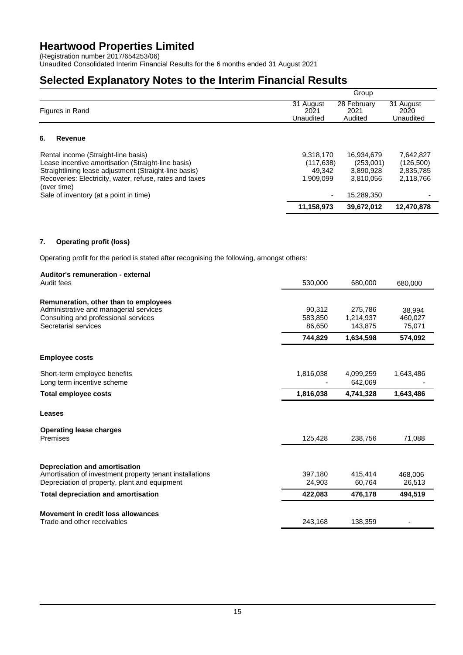(Registration number 2017/654253/06)

Unaudited Consolidated Interim Financial Results for the 6 months ended 31 August 2021

### **Selected Explanatory Notes to the Interim Financial Results**

|                                                                                                                                                                                                                              |                                                | Group                                             |                                                  |
|------------------------------------------------------------------------------------------------------------------------------------------------------------------------------------------------------------------------------|------------------------------------------------|---------------------------------------------------|--------------------------------------------------|
| Figures in Rand                                                                                                                                                                                                              | 31 August<br>2021<br>Unaudited                 | 28 February<br>2021<br>Audited                    | 31 August<br>2020<br>Unaudited                   |
| 6.<br>Revenue                                                                                                                                                                                                                |                                                |                                                   |                                                  |
| Rental income (Straight-line basis)<br>Lease incentive amortisation (Straight-line basis)<br>Straightlining lease adjustment (Straight-line basis)<br>Recoveries: Electricity, water, refuse, rates and taxes<br>(over time) | 9,318,170<br>(117, 638)<br>49.342<br>1,909,099 | 16,934,679<br>(253,001)<br>3,890,928<br>3,810,056 | 7,642,827<br>(126,500)<br>2,835,785<br>2,118,766 |
| Sale of inventory (at a point in time)                                                                                                                                                                                       |                                                | 15.289.350                                        |                                                  |
|                                                                                                                                                                                                                              | 11,158,973                                     | 39,672,012                                        | 12,470,878                                       |

### **7. Operating profit (loss)**

Operating profit for the period is stated after recognising the following, amongst others:

## **Auditor's remuneration - external** Audit fees 530,000 680,000 680,000 **Remuneration, other than to employees** Administrative and managerial services and managerial services and the services of the services of the services of the services of the services of the services of the services of the services of the services of the service Consulting and professional services 583,850<br>
Secretarial services 583,850<br>
66,650 1,215,937 587,650 Secretarial services 86,650 143,875 75,071 **Employee costs** Short-term employee benefits 1,816,038 4,099,259 1,643,486

| <b>SHORE CONNECTING YOU DUITOING</b><br>Long term incentive scheme                                                                         |                   | <br>642,069       | .                 |
|--------------------------------------------------------------------------------------------------------------------------------------------|-------------------|-------------------|-------------------|
| Total employee costs                                                                                                                       | 1,816,038         | 4,741,328         | 1,643,486         |
| Leases                                                                                                                                     |                   |                   |                   |
| <b>Operating lease charges</b><br>Premises                                                                                                 | 125,428           | 238,756           | 71,088            |
| Depreciation and amortisation<br>Amortisation of investment property tenant installations<br>Depreciation of property, plant and equipment | 397.180<br>24.903 | 415.414<br>60.764 | 468,006<br>26,513 |
| <b>Total depreciation and amortisation</b>                                                                                                 | 422,083           | 476.178           | 494.519           |
| Movement in credit loss allowances                                                                                                         |                   |                   |                   |
| Trade and other receivables                                                                                                                | 243,168           | 138.359           |                   |

**744,829 1,634,598 574,092**